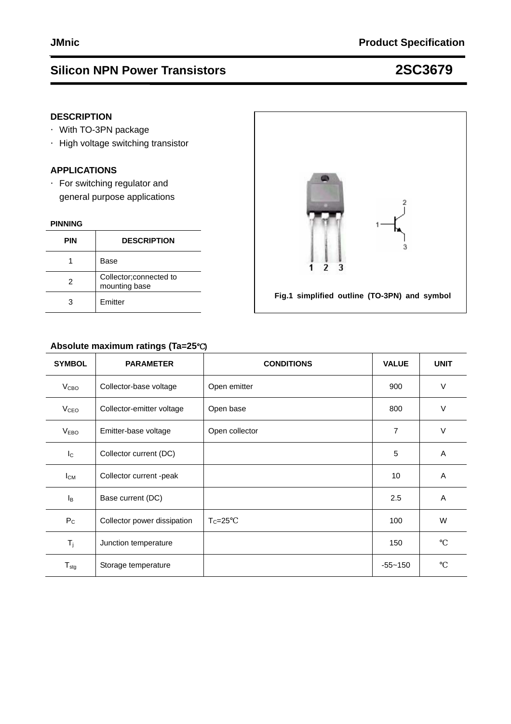### **DESCRIPTION**

- ·With TO-3PN package
- ·High voltage switching transistor

### **APPLICATIONS**

·For switching regulator and general purpose applications

#### **PINNING**

| <b>PIN</b> | <b>DESCRIPTION</b>                       |
|------------|------------------------------------------|
|            | Base                                     |
| 2          | Collector; connected to<br>mounting base |
|            | Emitter                                  |

### **Absolute maximum ratings (Ta=25**℃**)**

| <b>SYMBOL</b>          | <b>PARAMETER</b>            | <b>CONDITIONS</b> | <b>VALUE</b>   | <b>UNIT</b> |
|------------------------|-----------------------------|-------------------|----------------|-------------|
| V <sub>CBO</sub>       | Collector-base voltage      | Open emitter      | 900            | $\vee$      |
| <b>V<sub>CEO</sub></b> | Collector-emitter voltage   | Open base         | 800            | $\vee$      |
| V <sub>EBO</sub>       | Emitter-base voltage        | Open collector    | $\overline{7}$ | $\vee$      |
| $I_{\rm C}$            | Collector current (DC)      |                   | 5              | A           |
| $I_{CM}$               | Collector current -peak     |                   | 10             | A           |
| $I_B$                  | Base current (DC)           |                   | 2.5            | A           |
| $P_{C}$                | Collector power dissipation | $T_c = 25$        | 100            | W           |
| $T_j$                  | Junction temperature        |                   | 150            |             |
| $T_{\text{stg}}$       | Storage temperature         |                   | $-55 - 150$    |             |

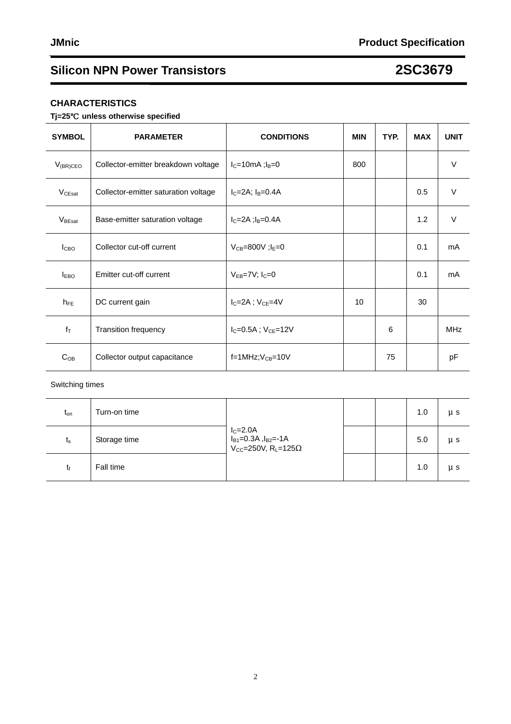### **CHARACTERISTICS**

#### **Tj=25**℃ **unless otherwise specified**

| <b>SYMBOL</b>      | <b>PARAMETER</b>                     | <b>CONDITIONS</b>             | <b>MIN</b> | TYP. | <b>MAX</b> | <b>UNIT</b> |
|--------------------|--------------------------------------|-------------------------------|------------|------|------------|-------------|
| $V_{(BR)CEO}$      | Collector-emitter breakdown voltage  | $I_C=10mA;I_B=0$              | 800        |      |            | $\vee$      |
| V <sub>CEsat</sub> | Collector-emitter saturation voltage | $I_C = 2A$ ; $I_B = 0.4A$     |            |      | 0.5        | $\vee$      |
| $V_{\text{BEsat}}$ | Base-emitter saturation voltage      | $I_C = 2A$ ; $I_B = 0.4A$     |            |      | 1.2        | $\vee$      |
| I <sub>CBO</sub>   | Collector cut-off current            | $V_{CB} = 800V$ ; $I_E = 0$   |            |      | 0.1        | mA          |
| <b>LEBO</b>        | Emitter cut-off current              | $V_{EB} = 7V$ ; $I_C = 0$     |            |      | 0.1        | mA          |
| $h_{FE}$           | DC current gain                      | $I_C = 2A$ ; $V_{CE} = 4V$    | 10         |      | 30         |             |
| $f_T$              | <b>Transition frequency</b>          | $I_C = 0.5A$ ; $V_{CE} = 12V$ |            | 6    |            | <b>MHz</b>  |
| $C_{OB}$           | Collector output capacitance         | $f=1$ MHz; $V_{CB}=10V$       |            | 75   |            | pF          |

#### Switching times

| $t_{\text{on}}$ | Turn-on time | <sup>1</sup> I <sub>C</sub> =2.0A<br>I <sub>B1</sub> =0.3A ,I <sub>B2</sub> =-1A<br>V <sub>CC</sub> =250V, R <sub>L</sub> =125 |  | 1.0 | $\mu$ s |
|-----------------|--------------|--------------------------------------------------------------------------------------------------------------------------------|--|-----|---------|
| $t_{\rm s}$     | Storage time |                                                                                                                                |  | 5.0 | $\mu$ s |
| tք              | Fall time    |                                                                                                                                |  | 1.0 | $\mu$ s |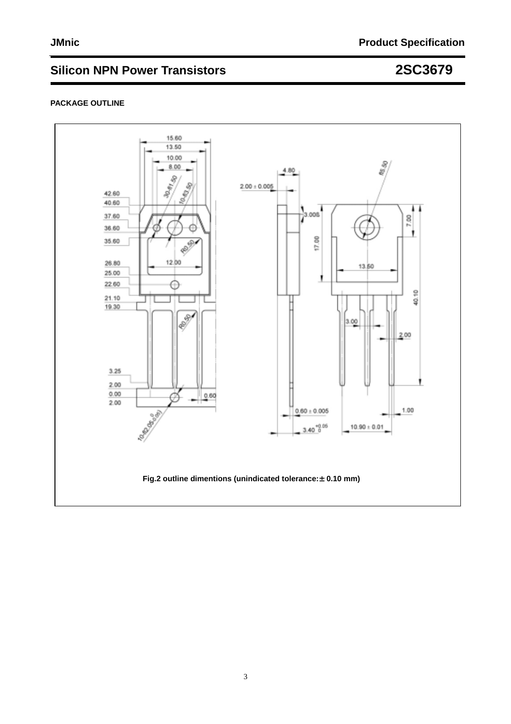#### **PACKAGE OUTLINE**